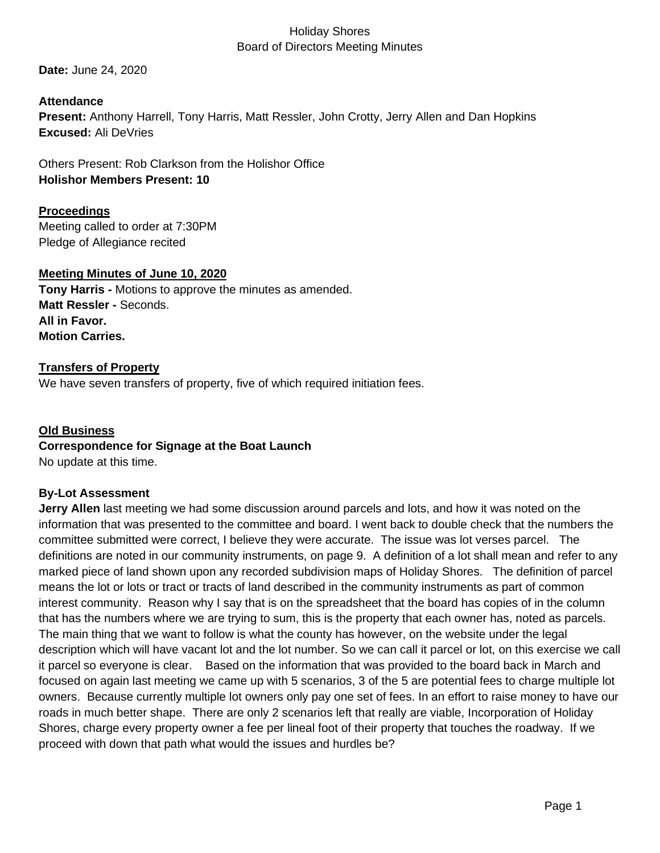**Date:** June 24, 2020

**Attendance Present:** Anthony Harrell, Tony Harris, Matt Ressler, John Crotty, Jerry Allen and Dan Hopkins **Excused:** Ali DeVries

Others Present: Rob Clarkson from the Holishor Office **Holishor Members Present: 10**

## **Proceedings**

Meeting called to order at 7:30PM Pledge of Allegiance recited

#### **Meeting Minutes of June 10, 2020**

**Tony Harris -** Motions to approve the minutes as amended. **Matt Ressler -** Seconds. **All in Favor. Motion Carries.**

#### **Transfers of Property**

We have seven transfers of property, five of which required initiation fees.

# **Old Business Correspondence for Signage at the Boat Launch**

No update at this time.

# **By-Lot Assessment**

**Jerry Allen** last meeting we had some discussion around parcels and lots, and how it was noted on the information that was presented to the committee and board. I went back to double check that the numbers the committee submitted were correct, I believe they were accurate. The issue was lot verses parcel. The definitions are noted in our community instruments, on page 9. A definition of a lot shall mean and refer to any marked piece of land shown upon any recorded subdivision maps of Holiday Shores. The definition of parcel means the lot or lots or tract or tracts of land described in the community instruments as part of common interest community. Reason why I say that is on the spreadsheet that the board has copies of in the column that has the numbers where we are trying to sum, this is the property that each owner has, noted as parcels. The main thing that we want to follow is what the county has however, on the website under the legal description which will have vacant lot and the lot number. So we can call it parcel or lot, on this exercise we call it parcel so everyone is clear. Based on the information that was provided to the board back in March and focused on again last meeting we came up with 5 scenarios, 3 of the 5 are potential fees to charge multiple lot owners. Because currently multiple lot owners only pay one set of fees. In an effort to raise money to have our roads in much better shape. There are only 2 scenarios left that really are viable, Incorporation of Holiday Shores, charge every property owner a fee per lineal foot of their property that touches the roadway. If we proceed with down that path what would the issues and hurdles be?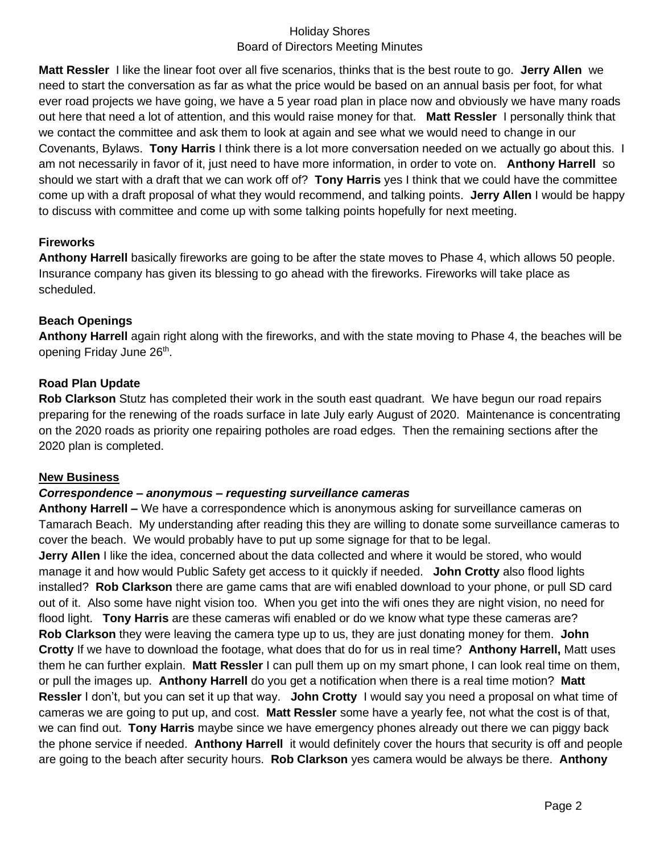**Matt Ressler** I like the linear foot over all five scenarios, thinks that is the best route to go. **Jerry Allen** we need to start the conversation as far as what the price would be based on an annual basis per foot, for what ever road projects we have going, we have a 5 year road plan in place now and obviously we have many roads out here that need a lot of attention, and this would raise money for that. **Matt Ressler** I personally think that we contact the committee and ask them to look at again and see what we would need to change in our Covenants, Bylaws. **Tony Harris** I think there is a lot more conversation needed on we actually go about this. I am not necessarily in favor of it, just need to have more information, in order to vote on. **Anthony Harrell** so should we start with a draft that we can work off of? **Tony Harris** yes I think that we could have the committee come up with a draft proposal of what they would recommend, and talking points. **Jerry Allen** I would be happy to discuss with committee and come up with some talking points hopefully for next meeting.

#### **Fireworks**

**Anthony Harrell** basically fireworks are going to be after the state moves to Phase 4, which allows 50 people. Insurance company has given its blessing to go ahead with the fireworks. Fireworks will take place as scheduled.

#### **Beach Openings**

**Anthony Harrell** again right along with the fireworks, and with the state moving to Phase 4, the beaches will be opening Friday June 26<sup>th</sup>.

#### **Road Plan Update**

**Rob Clarkson** Stutz has completed their work in the south east quadrant. We have begun our road repairs preparing for the renewing of the roads surface in late July early August of 2020. Maintenance is concentrating on the 2020 roads as priority one repairing potholes are road edges. Then the remaining sections after the 2020 plan is completed.

#### **New Business**

#### *Correspondence – anonymous – requesting surveillance cameras*

**Anthony Harrell –** We have a correspondence which is anonymous asking for surveillance cameras on Tamarach Beach. My understanding after reading this they are willing to donate some surveillance cameras to cover the beach. We would probably have to put up some signage for that to be legal.

**Jerry Allen** I like the idea, concerned about the data collected and where it would be stored, who would manage it and how would Public Safety get access to it quickly if needed. **John Crotty** also flood lights installed? **Rob Clarkson** there are game cams that are wifi enabled download to your phone, or pull SD card out of it. Also some have night vision too. When you get into the wifi ones they are night vision, no need for flood light. **Tony Harris** are these cameras wifi enabled or do we know what type these cameras are? **Rob Clarkson** they were leaving the camera type up to us, they are just donating money for them. **John Crotty** If we have to download the footage, what does that do for us in real time? **Anthony Harrell,** Matt uses them he can further explain. **Matt Ressler** I can pull them up on my smart phone, I can look real time on them, or pull the images up. **Anthony Harrell** do you get a notification when there is a real time motion? **Matt Ressler** I don't, but you can set it up that way. **John Crotty** I would say you need a proposal on what time of cameras we are going to put up, and cost. **Matt Ressler** some have a yearly fee, not what the cost is of that, we can find out. **Tony Harris** maybe since we have emergency phones already out there we can piggy back the phone service if needed. **Anthony Harrell** it would definitely cover the hours that security is off and people are going to the beach after security hours. **Rob Clarkson** yes camera would be always be there. **Anthony**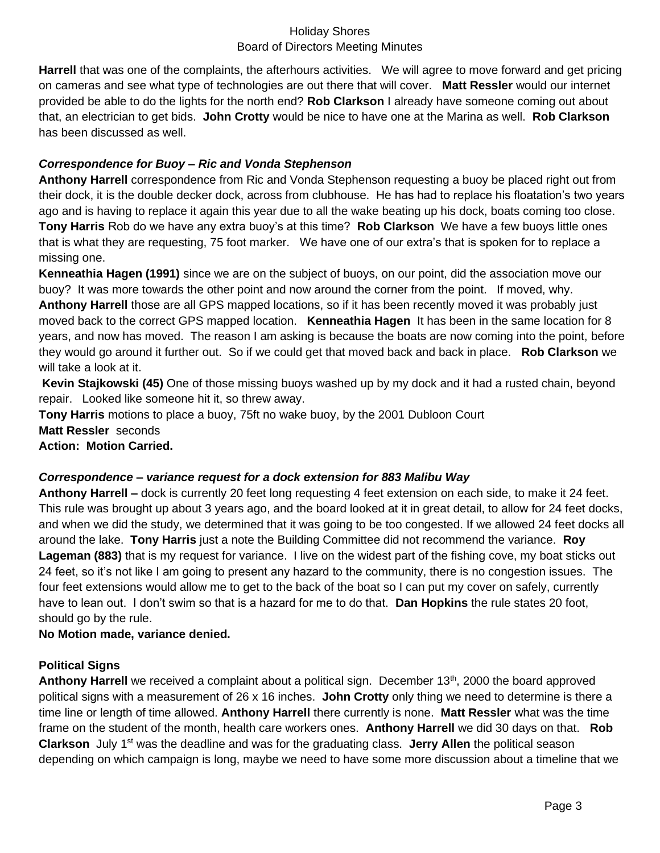**Harrell** that was one of the complaints, the afterhours activities. We will agree to move forward and get pricing on cameras and see what type of technologies are out there that will cover. **Matt Ressler** would our internet provided be able to do the lights for the north end? **Rob Clarkson** I already have someone coming out about that, an electrician to get bids. **John Crotty** would be nice to have one at the Marina as well. **Rob Clarkson** has been discussed as well.

# *Correspondence for Buoy – Ric and Vonda Stephenson*

**Anthony Harrell** correspondence from Ric and Vonda Stephenson requesting a buoy be placed right out from their dock, it is the double decker dock, across from clubhouse. He has had to replace his floatation's two years ago and is having to replace it again this year due to all the wake beating up his dock, boats coming too close. **Tony Harris** Rob do we have any extra buoy's at this time? **Rob Clarkson** We have a few buoys little ones that is what they are requesting, 75 foot marker. We have one of our extra's that is spoken for to replace a missing one.

**Kenneathia Hagen (1991)** since we are on the subject of buoys, on our point, did the association move our buoy? It was more towards the other point and now around the corner from the point. If moved, why. **Anthony Harrell** those are all GPS mapped locations, so if it has been recently moved it was probably just moved back to the correct GPS mapped location. **Kenneathia Hagen** It has been in the same location for 8 years, and now has moved. The reason I am asking is because the boats are now coming into the point, before they would go around it further out. So if we could get that moved back and back in place. **Rob Clarkson** we will take a look at it.

**Kevin Stajkowski (45)** One of those missing buoys washed up by my dock and it had a rusted chain, beyond repair. Looked like someone hit it, so threw away.

**Tony Harris** motions to place a buoy, 75ft no wake buoy, by the 2001 Dubloon Court **Matt Ressler** seconds **Action: Motion Carried.**

# *Correspondence – variance request for a dock extension for 883 Malibu Way*

**Anthony Harrell –** dock is currently 20 feet long requesting 4 feet extension on each side, to make it 24 feet. This rule was brought up about 3 years ago, and the board looked at it in great detail, to allow for 24 feet docks, and when we did the study, we determined that it was going to be too congested. If we allowed 24 feet docks all around the lake. **Tony Harris** just a note the Building Committee did not recommend the variance. **Roy Lageman (883)** that is my request for variance. I live on the widest part of the fishing cove, my boat sticks out 24 feet, so it's not like I am going to present any hazard to the community, there is no congestion issues. The four feet extensions would allow me to get to the back of the boat so I can put my cover on safely, currently have to lean out. I don't swim so that is a hazard for me to do that. **Dan Hopkins** the rule states 20 foot, should go by the rule.

**No Motion made, variance denied.**

# **Political Signs**

Anthony Harrell we received a complaint about a political sign. December 13<sup>th</sup>, 2000 the board approved political signs with a measurement of 26 x 16 inches. **John Crotty** only thing we need to determine is there a time line or length of time allowed. **Anthony Harrell** there currently is none. **Matt Ressler** what was the time frame on the student of the month, health care workers ones. **Anthony Harrell** we did 30 days on that. **Rob Clarkson** July 1<sup>st</sup> was the deadline and was for the graduating class. Jerry Allen the political season depending on which campaign is long, maybe we need to have some more discussion about a timeline that we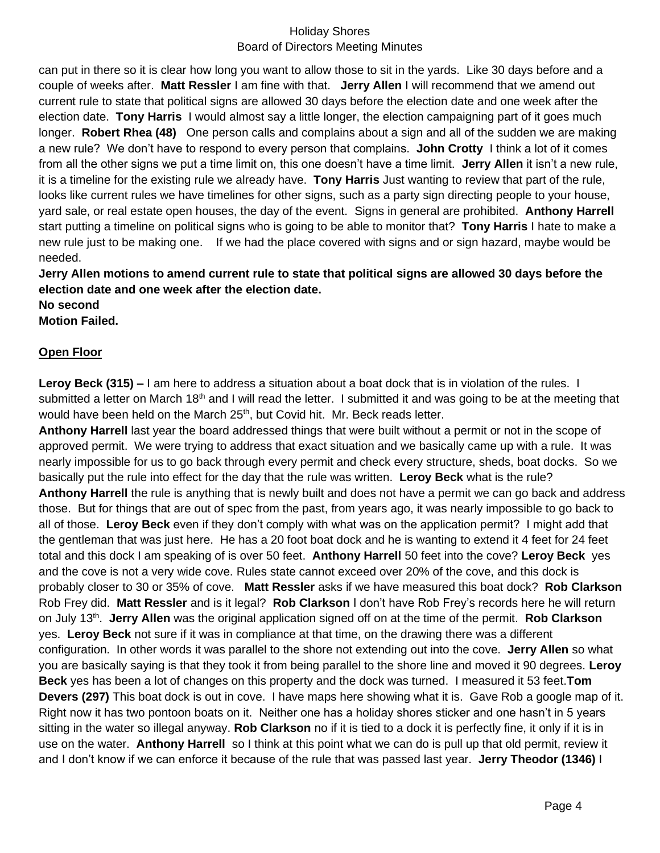can put in there so it is clear how long you want to allow those to sit in the yards. Like 30 days before and a couple of weeks after. **Matt Ressler** I am fine with that. **Jerry Allen** I will recommend that we amend out current rule to state that political signs are allowed 30 days before the election date and one week after the election date. **Tony Harris** I would almost say a little longer, the election campaigning part of it goes much longer. **Robert Rhea (48)** One person calls and complains about a sign and all of the sudden we are making a new rule? We don't have to respond to every person that complains. **John Crotty** I think a lot of it comes from all the other signs we put a time limit on, this one doesn't have a time limit. **Jerry Allen** it isn't a new rule, it is a timeline for the existing rule we already have. **Tony Harris** Just wanting to review that part of the rule, looks like current rules we have timelines for other signs, such as a party sign directing people to your house, yard sale, or real estate open houses, the day of the event. Signs in general are prohibited. **Anthony Harrell**  start putting a timeline on political signs who is going to be able to monitor that? **Tony Harris** I hate to make a new rule just to be making one. If we had the place covered with signs and or sign hazard, maybe would be needed.

**Jerry Allen motions to amend current rule to state that political signs are allowed 30 days before the election date and one week after the election date.**

**No second Motion Failed.**

#### **Open Floor**

**Leroy Beck (315) –** I am here to address a situation about a boat dock that is in violation of the rules. I submitted a letter on March 18<sup>th</sup> and I will read the letter. I submitted it and was going to be at the meeting that would have been held on the March 25<sup>th</sup>, but Covid hit. Mr. Beck reads letter.

**Anthony Harrell** last year the board addressed things that were built without a permit or not in the scope of approved permit. We were trying to address that exact situation and we basically came up with a rule. It was nearly impossible for us to go back through every permit and check every structure, sheds, boat docks. So we basically put the rule into effect for the day that the rule was written. **Leroy Beck** what is the rule? **Anthony Harrell** the rule is anything that is newly built and does not have a permit we can go back and address those. But for things that are out of spec from the past, from years ago, it was nearly impossible to go back to all of those. **Leroy Beck** even if they don't comply with what was on the application permit? I might add that the gentleman that was just here. He has a 20 foot boat dock and he is wanting to extend it 4 feet for 24 feet total and this dock I am speaking of is over 50 feet. **Anthony Harrell** 50 feet into the cove? **Leroy Beck** yes and the cove is not a very wide cove. Rules state cannot exceed over 20% of the cove, and this dock is probably closer to 30 or 35% of cove. **Matt Ressler** asks if we have measured this boat dock? **Rob Clarkson** Rob Frey did. **Matt Ressler** and is it legal? **Rob Clarkson** I don't have Rob Frey's records here he will return on July 13<sup>th</sup>. Jerry Allen was the original application signed off on at the time of the permit. Rob Clarkson yes. **Leroy Beck** not sure if it was in compliance at that time, on the drawing there was a different configuration. In other words it was parallel to the shore not extending out into the cove. **Jerry Allen** so what you are basically saying is that they took it from being parallel to the shore line and moved it 90 degrees. **Leroy Beck** yes has been a lot of changes on this property and the dock was turned. I measured it 53 feet.**Tom Devers (297)** This boat dock is out in cove. I have maps here showing what it is. Gave Rob a google map of it. Right now it has two pontoon boats on it. Neither one has a holiday shores sticker and one hasn't in 5 years sitting in the water so illegal anyway. **Rob Clarkson** no if it is tied to a dock it is perfectly fine, it only if it is in use on the water. **Anthony Harrell** so I think at this point what we can do is pull up that old permit, review it and I don't know if we can enforce it because of the rule that was passed last year. **Jerry Theodor (1346)** I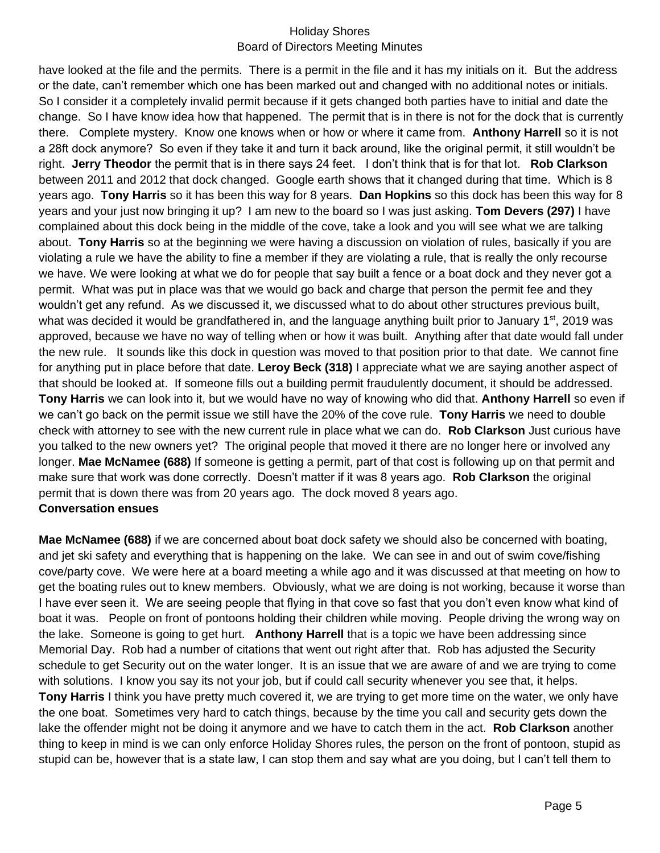have looked at the file and the permits. There is a permit in the file and it has my initials on it. But the address or the date, can't remember which one has been marked out and changed with no additional notes or initials. So I consider it a completely invalid permit because if it gets changed both parties have to initial and date the change. So I have know idea how that happened. The permit that is in there is not for the dock that is currently there. Complete mystery. Know one knows when or how or where it came from. **Anthony Harrell** so it is not a 28ft dock anymore? So even if they take it and turn it back around, like the original permit, it still wouldn't be right. **Jerry Theodor** the permit that is in there says 24 feet. I don't think that is for that lot. **Rob Clarkson** between 2011 and 2012 that dock changed. Google earth shows that it changed during that time. Which is 8 years ago. **Tony Harris** so it has been this way for 8 years. **Dan Hopkins** so this dock has been this way for 8 years and your just now bringing it up? I am new to the board so I was just asking. **Tom Devers (297)** I have complained about this dock being in the middle of the cove, take a look and you will see what we are talking about. **Tony Harris** so at the beginning we were having a discussion on violation of rules, basically if you are violating a rule we have the ability to fine a member if they are violating a rule, that is really the only recourse we have. We were looking at what we do for people that say built a fence or a boat dock and they never got a permit. What was put in place was that we would go back and charge that person the permit fee and they wouldn't get any refund. As we discussed it, we discussed what to do about other structures previous built, what was decided it would be grandfathered in, and the language anything built prior to January 1<sup>st</sup>, 2019 was approved, because we have no way of telling when or how it was built. Anything after that date would fall under the new rule. It sounds like this dock in question was moved to that position prior to that date. We cannot fine for anything put in place before that date. **Leroy Beck (318)** I appreciate what we are saying another aspect of that should be looked at. If someone fills out a building permit fraudulently document, it should be addressed. **Tony Harris** we can look into it, but we would have no way of knowing who did that. **Anthony Harrell** so even if we can't go back on the permit issue we still have the 20% of the cove rule. **Tony Harris** we need to double check with attorney to see with the new current rule in place what we can do. **Rob Clarkson** Just curious have you talked to the new owners yet? The original people that moved it there are no longer here or involved any longer. **Mae McNamee (688)** If someone is getting a permit, part of that cost is following up on that permit and make sure that work was done correctly. Doesn't matter if it was 8 years ago. **Rob Clarkson** the original permit that is down there was from 20 years ago. The dock moved 8 years ago. **Conversation ensues**

**Mae McNamee (688)** if we are concerned about boat dock safety we should also be concerned with boating, and jet ski safety and everything that is happening on the lake. We can see in and out of swim cove/fishing cove/party cove. We were here at a board meeting a while ago and it was discussed at that meeting on how to get the boating rules out to knew members. Obviously, what we are doing is not working, because it worse than I have ever seen it. We are seeing people that flying in that cove so fast that you don't even know what kind of boat it was. People on front of pontoons holding their children while moving. People driving the wrong way on the lake. Someone is going to get hurt. **Anthony Harrell** that is a topic we have been addressing since Memorial Day. Rob had a number of citations that went out right after that. Rob has adjusted the Security schedule to get Security out on the water longer. It is an issue that we are aware of and we are trying to come with solutions. I know you say its not your job, but if could call security whenever you see that, it helps. **Tony Harris** I think you have pretty much covered it, we are trying to get more time on the water, we only have the one boat. Sometimes very hard to catch things, because by the time you call and security gets down the lake the offender might not be doing it anymore and we have to catch them in the act. **Rob Clarkson** another thing to keep in mind is we can only enforce Holiday Shores rules, the person on the front of pontoon, stupid as stupid can be, however that is a state law, I can stop them and say what are you doing, but I can't tell them to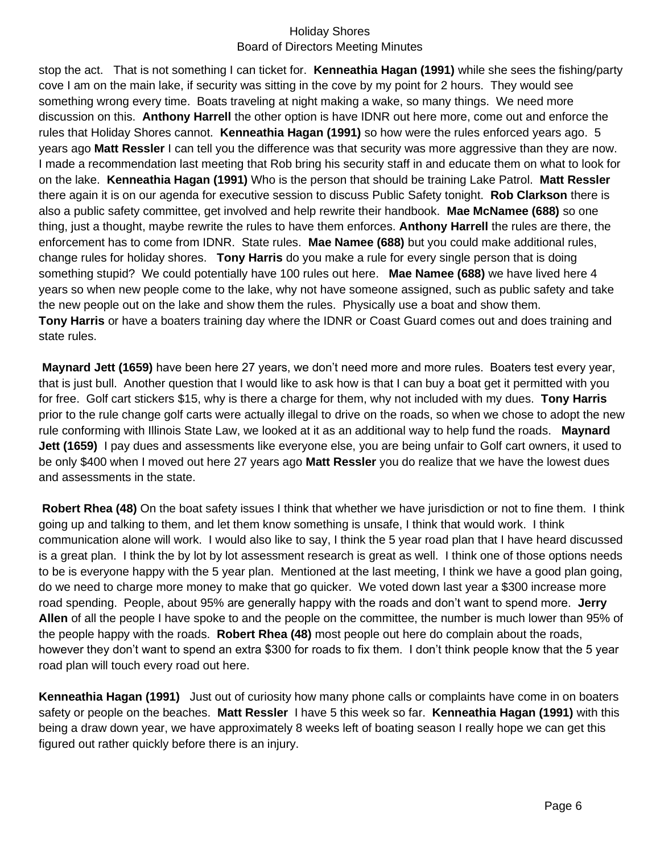stop the act. That is not something I can ticket for. **Kenneathia Hagan (1991)** while she sees the fishing/party cove I am on the main lake, if security was sitting in the cove by my point for 2 hours. They would see something wrong every time. Boats traveling at night making a wake, so many things. We need more discussion on this. **Anthony Harrell** the other option is have IDNR out here more, come out and enforce the rules that Holiday Shores cannot. **Kenneathia Hagan (1991)** so how were the rules enforced years ago. 5 years ago **Matt Ressler** I can tell you the difference was that security was more aggressive than they are now. I made a recommendation last meeting that Rob bring his security staff in and educate them on what to look for on the lake. **Kenneathia Hagan (1991)** Who is the person that should be training Lake Patrol. **Matt Ressler** there again it is on our agenda for executive session to discuss Public Safety tonight. **Rob Clarkson** there is also a public safety committee, get involved and help rewrite their handbook. **Mae McNamee (688)** so one thing, just a thought, maybe rewrite the rules to have them enforces. **Anthony Harrell** the rules are there, the enforcement has to come from IDNR. State rules. **Mae Namee (688)** but you could make additional rules, change rules for holiday shores. **Tony Harris** do you make a rule for every single person that is doing something stupid? We could potentially have 100 rules out here. **Mae Namee (688)** we have lived here 4 years so when new people come to the lake, why not have someone assigned, such as public safety and take the new people out on the lake and show them the rules. Physically use a boat and show them. **Tony Harris** or have a boaters training day where the IDNR or Coast Guard comes out and does training and state rules.

**Maynard Jett (1659)** have been here 27 years, we don't need more and more rules. Boaters test every year, that is just bull. Another question that I would like to ask how is that I can buy a boat get it permitted with you for free. Golf cart stickers \$15, why is there a charge for them, why not included with my dues. **Tony Harris** prior to the rule change golf carts were actually illegal to drive on the roads, so when we chose to adopt the new rule conforming with Illinois State Law, we looked at it as an additional way to help fund the roads. **Maynard Jett (1659)** I pay dues and assessments like everyone else, you are being unfair to Golf cart owners, it used to be only \$400 when I moved out here 27 years ago **Matt Ressler** you do realize that we have the lowest dues and assessments in the state.

**Robert Rhea (48)** On the boat safety issues I think that whether we have jurisdiction or not to fine them. I think going up and talking to them, and let them know something is unsafe, I think that would work. I think communication alone will work. I would also like to say, I think the 5 year road plan that I have heard discussed is a great plan. I think the by lot by lot assessment research is great as well. I think one of those options needs to be is everyone happy with the 5 year plan. Mentioned at the last meeting, I think we have a good plan going, do we need to charge more money to make that go quicker. We voted down last year a \$300 increase more road spending. People, about 95% are generally happy with the roads and don't want to spend more. **Jerry Allen** of all the people I have spoke to and the people on the committee, the number is much lower than 95% of the people happy with the roads. **Robert Rhea (48)** most people out here do complain about the roads, however they don't want to spend an extra \$300 for roads to fix them. I don't think people know that the 5 year road plan will touch every road out here.

**Kenneathia Hagan (1991)** Just out of curiosity how many phone calls or complaints have come in on boaters safety or people on the beaches. **Matt Ressler** I have 5 this week so far. **Kenneathia Hagan (1991)** with this being a draw down year, we have approximately 8 weeks left of boating season I really hope we can get this figured out rather quickly before there is an injury.